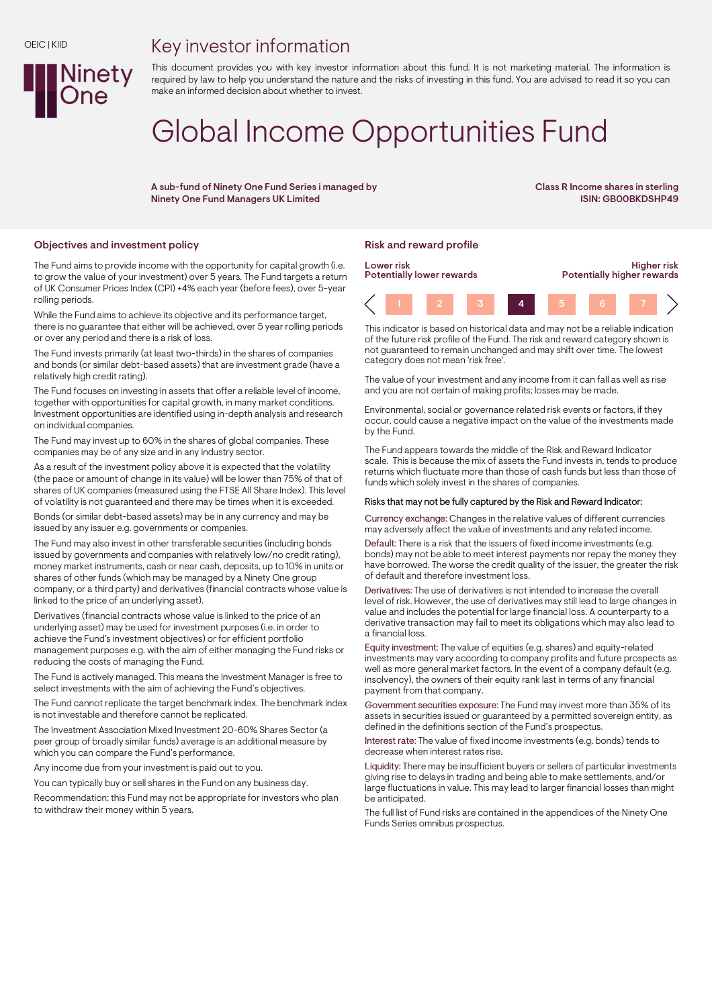## Key investor information



This document provides you with key investor information about this fund. It is not marketing material. The information is required by law to help you understand the nature and the risks of investing in this fund. You are advised to read it so you can make an informed decision about whether to invest.

# Global Income Opportunities Fund

A sub-fund of Ninety One Fund Series i managed by Ninety One Fund Managers UK Limited

Class R Income shares in sterling ISIN: GB00BKDSHP49

### Objectives and investment policy **Risk and reward profile** Risk and reward profile

The Fund aims to provide income with the opportunity for capital growth (i.e. to grow the value of your investment) over 5 years. The Fund targets a return of UK Consumer Prices Index (CPI) +4% each year (before fees), over 5-year rolling periods.

While the Fund aims to achieve its objective and its performance target, there is no guarantee that either will be achieved, over 5 year rolling periods or over any period and there is a risk of loss.

The Fund invests primarily (at least two-thirds) in the shares of companies and bonds (or similar debt-based assets) that are investment grade (have a relatively high credit rating).

The Fund focuses on investing in assets that offer a reliable level of income, together with opportunities for capital growth, in many market conditions. Investment opportunities are identified using in-depth analysis and research on individual companies.

The Fund may invest up to 60% in the shares of global companies. These companies may be of any size and in any industry sector.

As a result of the investment policy above it is expected that the volatility (the pace or amount of change in its value) will be lower than 75% of that of shares of UK companies (measured using the FTSE All Share Index). This level of volatility is not guaranteed and there may be times when it is exceeded.

Bonds (or similar debt-based assets) may be in any currency and may be issued by any issuer e.g. governments or companies.

The Fund may also invest in other transferable securities (including bonds issued by governments and companies with relatively low/no credit rating), money market instruments, cash or near cash, deposits, up to 10% in units or shares of other funds (which may be managed by a Ninety One group company, or a third party) and derivatives (financial contracts whose value is linked to the price of an underlying asset).

Derivatives (financial contracts whose value is linked to the price of an underlying asset) may be used for investment purposes (i.e. in order to achieve the Fund's investment objectives) or for efficient portfolio management purposes e.g. with the aim of either managing the Fund risks or reducing the costs of managing the Fund.

The Fund is actively managed. This means the Investment Manager is free to select investments with the aim of achieving the Fund's objectives.

The Fund cannot replicate the target benchmark index. The benchmark index is not investable and therefore cannot be replicated.

The Investment Association Mixed Investment 20-60% Shares Sector (a peer group of broadly similar funds) average is an additional measure by which you can compare the Fund's performance.

Any income due from your investment is paid out to you.

You can typically buy or sell shares in the Fund on any business day.

Recommendation: this Fund may not be appropriate for investors who plan to withdraw their money within 5 years.



This indicator is based on historical data and may not be a reliable indication of the future risk profile of the Fund. The risk and reward category shown is not guaranteed to remain unchanged and may shift over time. The lowest category does not mean 'risk free'.

The value of your investment and any income from it can fall as well as rise and you are not certain of making profits; losses may be made.

Environmental, social or governance related risk events or factors, if they occur, could cause a negative impact on the value of the investments made by the Fund.

The Fund appears towards the middle of the Risk and Reward Indicator scale. This is because the mix of assets the Fund invests in, tends to produce returns which fluctuate more than those of cash funds but less than those of funds which solely invest in the shares of companies.

#### Risks that may not be fully captured by the Risk and Reward Indicator:

Currency exchange: Changes in the relative values of different currencies may adversely affect the value of investments and any related income.

Default: There is a risk that the issuers of fixed income investments (e.g. bonds) may not be able to meet interest payments nor repay the money they have borrowed. The worse the credit quality of the issuer, the greater the risk of default and therefore investment loss.

Derivatives: The use of derivatives is not intended to increase the overall level of risk. However, the use of derivatives may still lead to large changes in value and includes the potential for large financial loss. A counterparty to a derivative transaction may fail to meet its obligations which may also lead to a financial loss.

Equity investment: The value of equities (e.g. shares) and equity-related investments may vary according to company profits and future prospects as well as more general market factors. In the event of a company default (e.g. insolvency), the owners of their equity rank last in terms of any financial payment from that company.

Government securities exposure: The Fund may invest more than 35% of its assets in securities issued or guaranteed by a permitted sovereign entity, as defined in the definitions section of the Fund's prospectus.

Interest rate: The value of fixed income investments (e.g. bonds) tends to decrease when interest rates rise.

Liquidity: There may be insufficient buyers or sellers of particular investments giving rise to delays in trading and being able to make settlements, and/or large fluctuations in value. This may lead to larger financial losses than might be anticipated.

The full list of Fund risks are contained in the appendices of the Ninety One Funds Series omnibus prospectus.